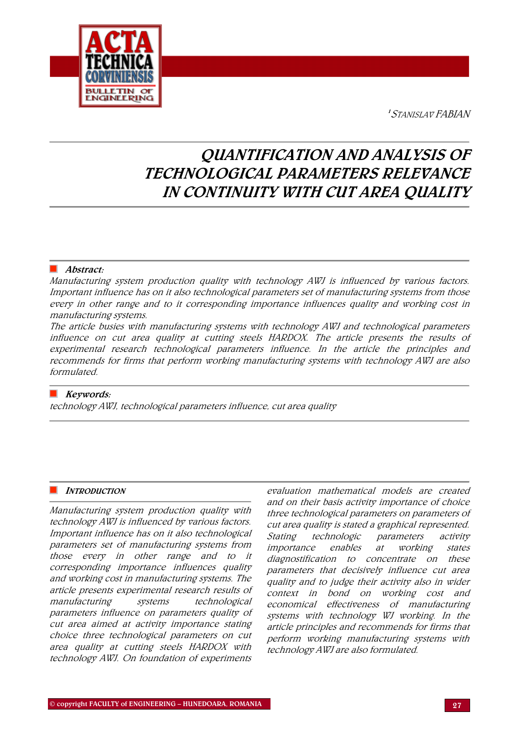<sup>1</sup>STANISLAV FABIAN



# QUANTIFICATION AND ANALYSIS OF TECHNOLOGICAL PARAMETERS RELEVANCE IN CONTINUITY WITH CUT AREA QUALITY

## ■ Abstract:

Manufacturing system production quality with technology AWJ is influenced by various factors. Important influence has on it also technological parameters set of manufacturing systems from those every in other range and to it corresponding importance influences quality and working cost in manufacturing systems.

The article busies with manufacturing systems with technology AWJ and technological parameters influence on cut area quality at cutting steels HARDOX. The article presents the results of experimental research technological parameters influence. In the article the principles and recommends for firms that perform working manufacturing systems with technology AWJ are also formulated.

## **Keywords:**

technology AWJ, technological parameters influence, cut area quality

## **INTRODUCTION**

Manufacturing system production quality with technology AWJ is influenced by various factors. Important influence has on it also technological parameters set of manufacturing systems from those every in other range and to it corresponding importance influences quality and working cost in manufacturing systems. The article presents experimental research results of manufacturing systems technological parameters influence on parameters quality of cut area aimed at activity importance stating choice three technological parameters on cut area quality at cutting steels HARDOX with technology AWJ. On foundation of experiments

evaluation mathematical models are created and on their basis activity importance of choice three technological parameters on parameters of cut area quality is stated a graphical represented. Stating technologic parameters activity importance enables at working states diagnostification to concentrate on these parameters that decisively influence cut area quality and to judge their activity also in wider context in bond on working cost and economical effectiveness of manufacturing systems with technology WJ working. In the article principles and recommends for firms that perform working manufacturing systems with technology AWJ are also formulated.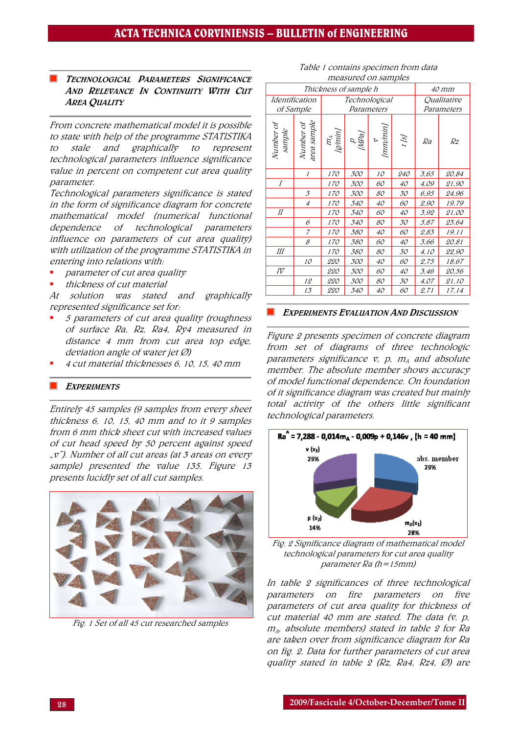## TECHNOLOGICAL PARAMETERS SIGNIFICANCE AND RELEVANCE IN CONTINUITY WITH CUT AREA QUALITY

From concrete mathematical model it is possible to state with help of the programme STATISTIKA to stale and graphically to represent technological parameters influence significance value in percent on competent cut area quality parameter.

Technological parameters significance is stated in the form of significance diagram for concrete mathematical model (numerical functional dependence of technological parameters influence on parameters of cut area quality) with utilization of the programme STATISTIKA in entering into relations with:

- parameter of cut area quality
- thickness of cut material

At solution was stated and graphically represented significance set for:

- 5 parameters of cut area quality (roughness of surface Ra, Rz, Ra4, Ry4 measured in distance 4 mm from cut area top edge, deviation angle of water jet Ø)
- 4 cut material thicknesses 6, 10, 15, 40 mm

#### **EXPERIMENTS**

Entirely 45 samples (9 samples from every sheet thickness  $6$ ,  $10$ ,  $15$ ,  $40$  mm and to it  $9$  samples from 6 mm thick sheet cut with increased values of cut head speed by 50 percent against speed "v"). Number of all cut areas (at 3 areas on every sample) presented the value 135. Figure 13 presents lucidly set of all cut samples.



Fig. 1 Set of all 45 cut researched samples

| Table 1 contains specimen from data |  |
|-------------------------------------|--|
| measured on samples                 |  |

| mcasarca on sampics<br>Thickness of sample h |                          |                             |                |    |            |                           | 40 mm        |  |
|----------------------------------------------|--------------------------|-----------------------------|----------------|----|------------|---------------------------|--------------|--|
| Identification<br>of Sample                  |                          | Technological<br>Parameters |                |    |            | Qualitative<br>Parameters |              |  |
| Number of<br>sample                          | Number of<br>area sample | m <sub>A</sub><br>[g/min]   | $\frac{b}{dW}$ |    | s          | Ra                        | Rz           |  |
|                                              | 1                        | <i>170</i>                  | 300            | 10 | <i>240</i> | 3,65                      | 20.84        |  |
| Ι                                            |                          | 170                         | 300            | 60 | 40         | 4,09                      | <i>21,90</i> |  |
|                                              | $\mathfrak{Z}$           | 170                         | 300            | 80 | 30         | 6.95                      | 24.96        |  |
|                                              | $\overline{4}$           | <i>170</i>                  | 340            | 40 | 60         | 2,90                      | 19,79        |  |
| $I\!I$                                       |                          | 170                         | 340            | 60 | 40         | 3,92                      | <i>21,00</i> |  |
|                                              | 6                        | <i>170</i>                  | 340            | 80 | 30         | 5,87                      | 23,64        |  |
|                                              | $\overline{7}$           | 170                         | 380            | 40 | 60         | 2,83                      | 19,11        |  |
|                                              | 8                        | 170                         | 380            | 60 | 40         | 3,66                      | 20,81        |  |
| Ш                                            |                          | <i>170</i>                  | 380            | 80 | 30         | 4.10                      | <i>22.90</i> |  |
|                                              | 10                       | <i>220</i>                  | 300            | 40 | 60         | 2.75                      | 18.67        |  |
| ΙV                                           |                          | <i>220</i>                  | 300            | 60 | 40         | 3,46                      | 20,56        |  |
|                                              | 12                       | <i>220</i>                  | 300            | 80 | 30         | 4,07                      | 21,10        |  |
|                                              | 13                       | <i>220</i>                  | 340            | 40 | 60         | 2, 71                     | 17,14        |  |

EXPERIMENTS EVALUATION AND DISCUSSION

Figure 2 presents specimen of concrete diagram from set of diagrams of three technologic parameters significance  $\sigma$ , p,  $m_A$  and absolute member. The absolute member shows accuracy of model functional dependence. On foundation of it significance diagram was created but mainly total activity of the others little significant technological parameters.



Fig. 2 Significance diagram of mathematical model technological parameters for cut area quality parameter Ra (h=15mm)

In table 2 significances of three technological parameters on fire parameters on five parameters of cut area quality for thickness of cut material 40 mm are stated. The data  $(r, p, p)$  $m_A$ , absolute members) stated in table 2 for Ra are taken over from significance diagram for Ra on fig. 2. Data for further parameters of cut area quality stated in table 2 (Rz, Ra4, Rz4,  $\varnothing$ ) are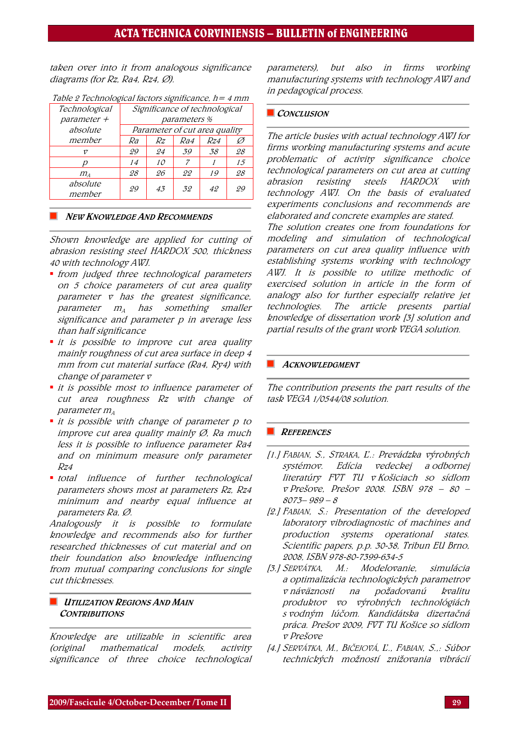taken over into it from analogous significance diagrams (for Rz, Ra4, Rz4, Ø).

| Technological              |                               | Significance of technological |     |     |    |  |  |
|----------------------------|-------------------------------|-------------------------------|-----|-----|----|--|--|
| parameter $+$              | parameters %                  |                               |     |     |    |  |  |
| absolute                   | Parameter of cut area quality |                               |     |     |    |  |  |
| member                     | Ra                            | Rz                            | Ra4 | Rz4 |    |  |  |
| 17                         | 29                            | 24                            | 39  | 38  | 28 |  |  |
|                            | 14                            | 10                            |     |     | 15 |  |  |
| $m_{\scriptscriptstyle A}$ | 28                            | 26                            | 22  | 19  | 28 |  |  |
| absolute<br>member         | 29                            | 4.3                           | 32  | 42  | 99 |  |  |

| Table 2 Technological factors significance, h = 4 mm |  |
|------------------------------------------------------|--|
|------------------------------------------------------|--|

#### NEW KNOWLEDGE AND RECOMMENDS

Shown knowledge are applied for cutting of abrasion resisting steel HARDOX 500, thickness 40 with technology AWJ.

- from judged three technological parameters on 5 choice parameters of cut area quality parameter  $\sigma$  has the greatest significance, parameter  $m_A$  has something smaller significance and parameter p in average less than half significance
- it is possible to improve cut area quality mainly roughness of cut area surface in deep 4 mm from cut material surface (Ra4, Ry4) with change of parameter v
- $\blacksquare$  it is possible most to influence parameter of cut area roughness Rz with change of parameter  $m_A$
- $\blacksquare$  it is possible with change of parameter p to improve cut area quality mainly  $\emptyset$ , Ra much less it is possible to influence parameter Ra4 and on minimum measure only parameter Rz4
- total influence of further technological parameters shows most at parameters Rz, Rz4 minimum and nearby equal influence at parameters Ra, Ø.

Analogously it is possible to formulate knowledge and recommends also for further researched thicknesses of cut material and on their foundation also knowledge influencing from mutual comparing conclusions for single cut thicknesses.

## **UTILIZATION REGIONS AND MAIN CONTRIBUTIONS**

Knowledge are utilizable in scientific area (original mathematical models, activity significance of three choice technological parameters), but also in firms working manufacturing systems with technology AWJ and in pedagogical process.

#### CONCLUSION

The article busies with actual technology AWJ for firms working manufacturing systems and acute problematic of activity significance choice technological parameters on cut area at cutting abrasion resisting steels HARDOX with technology AWJ. On the basis of evaluated experiments conclusions and recommends are elaborated and concrete examples are stated.

The solution creates one from foundations for modeling and simulation of technological parameters on cut area quality influence with establishing systems working with technology AWJ. It is possible to utilize methodic of exercised solution in article in the form of analogy also for further especially relative jet technologies. The article presents partial knowledge of dissertation work [3] solution and partial results of the grant work VEGA solution.

#### ACKNOWLEDGMENT

The contribution presents the part results of the task VEGA 1/0544/08 solution.

#### **REFERENCES**

- [1.] <sup>F</sup>ABIAN, S., STRAKA, *Ľ*.: Prevádzka výrobných systémov. Edícia vedeckej a odbornej literatúry FVT TU v Košiciach so sídlom v Prešove, Prešov 2008. ISBN 978 – 80 – 8073– 989 – 8
- [2.] FABIAN, S.: Presentation of the developed laboratory vibrodiagnostic of machines and production systems operational states. Scientific papers, p.p. 30-38, Tribun EU Brno, 2008, ISBN 978-80-7399-634-5
- [3.] SERVÁTKA, M.: Modelovanie, simulácia a optimalizácia technologických parametrov v náväznosti na požadovanú kvalitu produktov vo výrobných technológiách s vodným lúčom. Kandidátska dizertačná práca. Prešov 2009, FVT TU Košice so sídlom v Prešove
- [4.] SERVÁTKA, M., <sup>B</sup>IČEJOVÁ, *Ľ*., <sup>F</sup>ABIAN, S.,: Súbor technických možností znižovania vibrácií